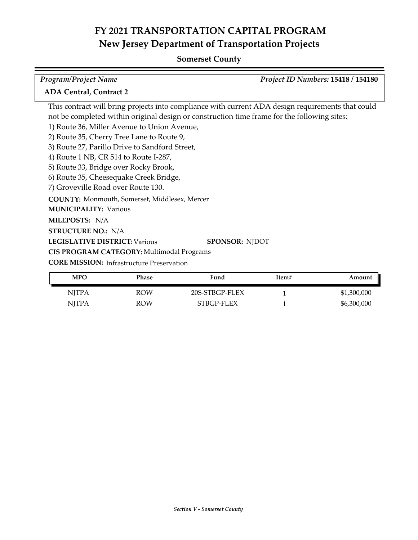## **Somerset County**

| <b>Program/Project Name</b>                                                                 | Project ID Numbers: 15418 / 154180                                                                |
|---------------------------------------------------------------------------------------------|---------------------------------------------------------------------------------------------------|
| <b>ADA Central, Contract 2</b>                                                              |                                                                                                   |
|                                                                                             | This contract will bring projects into compliance with current ADA design requirements that could |
| not be completed within original design or construction time frame for the following sites: |                                                                                                   |
| 1) Route 36, Miller Avenue to Union Avenue,                                                 |                                                                                                   |
| 2) Route 35, Cherry Tree Lane to Route 9,                                                   |                                                                                                   |
| 3) Route 27, Parillo Drive to Sandford Street,                                              |                                                                                                   |
| 4) Route 1 NB, CR 514 to Route I-287,                                                       |                                                                                                   |
| 5) Route 33, Bridge over Rocky Brook,                                                       |                                                                                                   |
| 6) Route 35, Cheesequake Creek Bridge,                                                      |                                                                                                   |
| 7) Groveville Road over Route 130.                                                          |                                                                                                   |
| COUNTY: Monmouth, Somerset, Middlesex, Mercer                                               |                                                                                                   |
| <b>MUNICIPALITY: Various</b>                                                                |                                                                                                   |
| <b>MILEPOSTS: N/A</b>                                                                       |                                                                                                   |
| <b>STRUCTURE NO.: N/A</b>                                                                   |                                                                                                   |
| <b>LEGISLATIVE DISTRICT: Various</b>                                                        | <b>SPONSOR: NIDOT</b>                                                                             |
| <b>CIS PROGRAM CATEGORY: Multimodal Programs</b>                                            |                                                                                                   |
| <b>CORE MISSION:</b> Infrastructure Preservation                                            |                                                                                                   |

| <b>MPO</b> | Phase      | Fund           | Item# | Amount      |
|------------|------------|----------------|-------|-------------|
| NJTPA      | <b>ROW</b> | 20S-STBGP-FLEX |       | \$1,300,000 |
| NITPA      | <b>ROW</b> | STBGP-FLEX     |       | \$6,300,000 |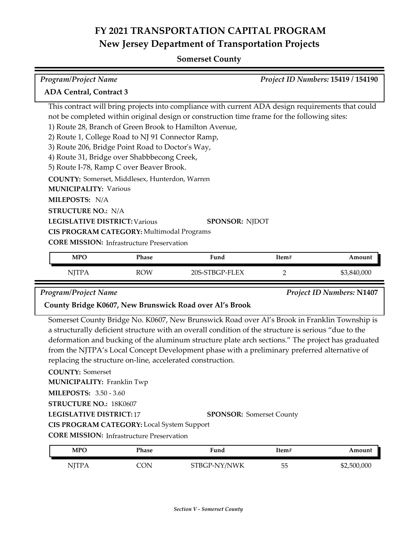## **Somerset County**

| <b>Program/Project Name</b>                                                                       |                                                       | Project ID Numbers: 15419 / 154190 |  |  |
|---------------------------------------------------------------------------------------------------|-------------------------------------------------------|------------------------------------|--|--|
| <b>ADA Central, Contract 3</b>                                                                    |                                                       |                                    |  |  |
| This contract will bring projects into compliance with current ADA design requirements that could |                                                       |                                    |  |  |
| not be completed within original design or construction time frame for the following sites:       |                                                       |                                    |  |  |
| 1) Route 28, Branch of Green Brook to Hamilton Avenue,                                            |                                                       |                                    |  |  |
| 2) Route 1, College Road to NJ 91 Connector Ramp,                                                 |                                                       |                                    |  |  |
| 3) Route 206, Bridge Point Road to Doctor's Way,                                                  |                                                       |                                    |  |  |
| 4) Route 31, Bridge over Shabbbecong Creek,                                                       |                                                       |                                    |  |  |
| 5) Route I-78, Ramp C over Beaver Brook.                                                          |                                                       |                                    |  |  |
|                                                                                                   | <b>COUNTY:</b> Somerset, Middlesex, Hunterdon, Warren |                                    |  |  |
| <b>MUNICIPALITY: Various</b>                                                                      |                                                       |                                    |  |  |
| MILEPOSTS: N/A                                                                                    |                                                       |                                    |  |  |
| <b>STRUCTURE NO.: N/A</b>                                                                         |                                                       |                                    |  |  |
| <b>LEGISLATIVE DISTRICT: Various</b><br><b>SPONSOR: NJDOT</b>                                     |                                                       |                                    |  |  |
| <b>CIS PROGRAM CATEGORY: Multimodal Programs</b>                                                  |                                                       |                                    |  |  |
| <b>CORE MISSION:</b> Infrastructure Preservation                                                  |                                                       |                                    |  |  |
| <b>MPO</b><br>Phase                                                                               | Fund                                                  | Item#<br>Amount                    |  |  |

| .<br>. . | ROM | ገበር | - | იიი<br>" |
|----------|-----|-----|---|----------|

*Program/Project Name Project ID Numbers:* **N1407**

### **County Bridge K0607, New Brunswick Road over Al's Brook**

Somerset County Bridge No. K0607, New Brunswick Road over Al's Brook in Franklin Township is a structurally deficient structure with an overall condition of the structure is serious "due to the deformation and bucking of the aluminum structure plate arch sections." The project has graduated from the NJTPA's Local Concept Development phase with a preliminary preferred alternative of replacing the structure on-line, accelerated construction.

### **COUNTY:** Somerset

**MUNICIPALITY: Franklin Twp** 

**MILEPOSTS:** 3.50 - 3.60

**STRUCTURE NO.:** 18K0607

**LEGISLATIVE DISTRICT:** 17

**CIS PROGRAM CATEGORY:** Local System Support

**CORE MISSION: Infrastructure Preservation** 

| <b>MPO</b> | Phase | Fund         | Item# | Amount      |
|------------|-------|--------------|-------|-------------|
| NITPA      | CON   | STBGP-NY/NWK | 55    | \$2,500,000 |

**SPONSOR:** Somerset County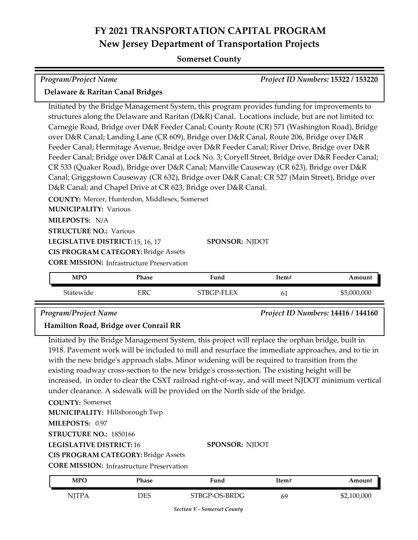## **Somerset County**

| <b>Program/Project Name</b><br><b>Project ID Numbers: 15322 / 153220</b>                                                                                                                                                                                                                                                                                                                                                                                                                                                                                                                                                                                                                                                                                                                                                                                      |             |  |  |  |
|---------------------------------------------------------------------------------------------------------------------------------------------------------------------------------------------------------------------------------------------------------------------------------------------------------------------------------------------------------------------------------------------------------------------------------------------------------------------------------------------------------------------------------------------------------------------------------------------------------------------------------------------------------------------------------------------------------------------------------------------------------------------------------------------------------------------------------------------------------------|-------------|--|--|--|
| Delaware & Raritan Canal Bridges                                                                                                                                                                                                                                                                                                                                                                                                                                                                                                                                                                                                                                                                                                                                                                                                                              |             |  |  |  |
| Initiated by the Bridge Management System, this program provides funding for improvements to<br>structures along the Delaware and Raritan (D&R) Canal. Locations include, but are not limited to:<br>Carnegie Road, Bridge over D&R Feeder Canal; County Route (CR) 571 (Washington Road), Bridge<br>over D&R Canal; Landing Lane (CR 609), Bridge over D&R Canal, Route 206, Bridge over D&R<br>Feeder Canal; Hermitage Avenue, Bridge over D&R Feeder Canal; River Drive, Bridge over D&R<br>Feeder Canal; Bridge over D&R Canal at Lock No. 3; Coryell Street, Bridge over D&R Feeder Canal;<br>CR 533 (Quaker Road), Bridge over D&R Canal; Manville Causeway (CR 623), Bridge over D&R<br>Canal; Griggstown Causeway (CR 632), Bridge over D&R Canal; CR 527 (Main Street), Bridge over<br>D&R Canal; and Chapel Drive at CR 623, Bridge over D&R Canal. |             |  |  |  |
| COUNTY: Mercer, Hunterdon, Middlesex, Somerset                                                                                                                                                                                                                                                                                                                                                                                                                                                                                                                                                                                                                                                                                                                                                                                                                |             |  |  |  |
| <b>MUNICIPALITY: Various</b>                                                                                                                                                                                                                                                                                                                                                                                                                                                                                                                                                                                                                                                                                                                                                                                                                                  |             |  |  |  |
| MILEPOSTS: N/A<br><b>STRUCTURE NO.: Various</b>                                                                                                                                                                                                                                                                                                                                                                                                                                                                                                                                                                                                                                                                                                                                                                                                               |             |  |  |  |
| <b>SPONSOR: NJDOT</b><br>LEGISLATIVE DISTRICT: 15, 16, 17                                                                                                                                                                                                                                                                                                                                                                                                                                                                                                                                                                                                                                                                                                                                                                                                     |             |  |  |  |
| <b>CIS PROGRAM CATEGORY: Bridge Assets</b><br><b>CORE MISSION:</b> Infrastructure Preservation                                                                                                                                                                                                                                                                                                                                                                                                                                                                                                                                                                                                                                                                                                                                                                |             |  |  |  |
| <b>MPO</b><br><b>Phase</b><br>Fund<br>Item#                                                                                                                                                                                                                                                                                                                                                                                                                                                                                                                                                                                                                                                                                                                                                                                                                   | Amount      |  |  |  |
| Statewide<br><b>ERC</b><br>STBGP-FLEX<br>61                                                                                                                                                                                                                                                                                                                                                                                                                                                                                                                                                                                                                                                                                                                                                                                                                   | \$5,000,000 |  |  |  |

*Program/Project Name Project ID Numbers:* **14416 / 144160**

### **Hamilton Road, Bridge over Conrail RR**

Initiated by the Bridge Management System, this project will replace the orphan bridge, built in 1918. Pavement work will be included to mill and resurface the immediate approaches, and to tie in with the new bridge's approach slabs. Minor widening will be required to transition from the existing roadway cross-section to the new bridge's cross-section. The existing height will be increased, in order to clear the CSXT railroad right-of-way, and will meet NJDOT minimum vertical under clearance. A sidewalk will be provided on the North side of the bridge.

**COUNTY:** Somerset **LEGISLATIVE DISTRICT:** 16 **MILEPOSTS:** 0.97 **STRUCTURE NO.:** 1850166 **MUNICIPALITY: Hillsborough Twp** 

**SPONSOR:** NJDOT

**CIS PROGRAM CATEGORY:** Bridge Assets

**CORE MISSION:** Infrastructure Preservation

| MPO          | Phase | Fund          | ltem# | Amount      |
|--------------|-------|---------------|-------|-------------|
| <b>NJTPA</b> | DES   | STBGP-OS-BRDG | 69    | \$2,100,000 |

*Section V - Somerset County*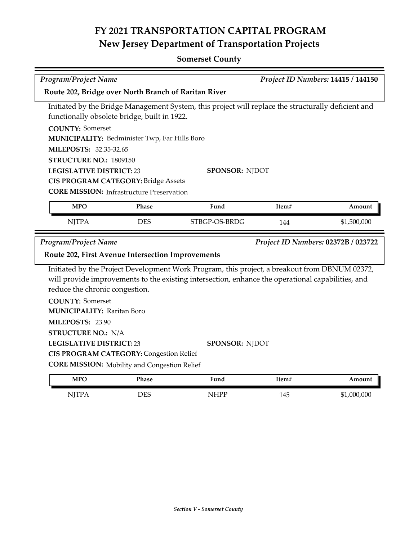## **Somerset County**

| <b>Program/Project Name</b><br>Project ID Numbers: 14415 / 144150                                   |                                                     |                                                                                                   |       |                                     |  |  |
|-----------------------------------------------------------------------------------------------------|-----------------------------------------------------|---------------------------------------------------------------------------------------------------|-------|-------------------------------------|--|--|
| Route 202, Bridge over North Branch of Raritan River                                                |                                                     |                                                                                                   |       |                                     |  |  |
| Initiated by the Bridge Management System, this project will replace the structurally deficient and |                                                     |                                                                                                   |       |                                     |  |  |
|                                                                                                     | functionally obsolete bridge, built in 1922.        |                                                                                                   |       |                                     |  |  |
|                                                                                                     | <b>COUNTY: Somerset</b>                             |                                                                                                   |       |                                     |  |  |
|                                                                                                     | MUNICIPALITY: Bedminister Twp, Far Hills Boro       |                                                                                                   |       |                                     |  |  |
| MILEPOSTS: 32.35-32.65                                                                              |                                                     |                                                                                                   |       |                                     |  |  |
| STRUCTURE NO.: 1809150                                                                              |                                                     |                                                                                                   |       |                                     |  |  |
| <b>LEGISLATIVE DISTRICT:23</b>                                                                      |                                                     | <b>SPONSOR: NJDOT</b>                                                                             |       |                                     |  |  |
|                                                                                                     | <b>CIS PROGRAM CATEGORY: Bridge Assets</b>          |                                                                                                   |       |                                     |  |  |
|                                                                                                     | <b>CORE MISSION:</b> Infrastructure Preservation    |                                                                                                   |       |                                     |  |  |
| <b>MPO</b>                                                                                          | Phase                                               | Fund                                                                                              | Item# | Amount                              |  |  |
| <b>NJTPA</b>                                                                                        | <b>DES</b>                                          | STBGP-OS-BRDG                                                                                     | 144   | \$1,500,000                         |  |  |
|                                                                                                     |                                                     |                                                                                                   |       |                                     |  |  |
| <b>Program/Project Name</b>                                                                         |                                                     |                                                                                                   |       | Project ID Numbers: 02372B / 023722 |  |  |
|                                                                                                     | Route 202, First Avenue Intersection Improvements   |                                                                                                   |       |                                     |  |  |
|                                                                                                     |                                                     | Initiated by the Project Development Work Program, this project, a breakout from DBNUM 02372,     |       |                                     |  |  |
|                                                                                                     |                                                     | will provide improvements to the existing intersection, enhance the operational capabilities, and |       |                                     |  |  |
| reduce the chronic congestion.                                                                      |                                                     |                                                                                                   |       |                                     |  |  |
| <b>COUNTY: Somerset</b>                                                                             |                                                     |                                                                                                   |       |                                     |  |  |
| <b>MUNICIPALITY: Raritan Boro</b>                                                                   |                                                     |                                                                                                   |       |                                     |  |  |
| MILEPOSTS: 23.90                                                                                    |                                                     |                                                                                                   |       |                                     |  |  |
| <b>STRUCTURE NO.: N/A</b>                                                                           |                                                     |                                                                                                   |       |                                     |  |  |
| <b>LEGISLATIVE DISTRICT:23</b>                                                                      |                                                     | <b>SPONSOR: NJDOT</b>                                                                             |       |                                     |  |  |
|                                                                                                     | <b>CIS PROGRAM CATEGORY: Congestion Relief</b>      |                                                                                                   |       |                                     |  |  |
|                                                                                                     | <b>CORE MISSION:</b> Mobility and Congestion Relief |                                                                                                   |       |                                     |  |  |
| <b>MPO</b>                                                                                          | Phase                                               | Fund                                                                                              | Item# | Amount                              |  |  |